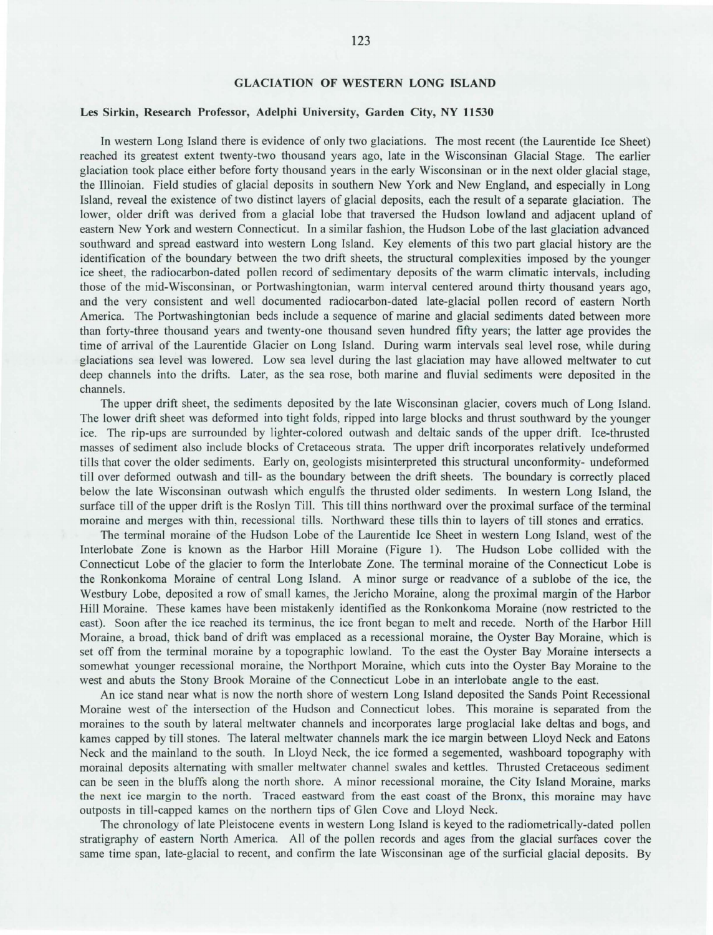## GLACIATION OF WESTERN LONG ISLAND

## Les Sirkin, Research Professor, Adelphi University, Garden City, NY 11530

In western Long Island there is evidence of only two glaciations. The most recent (the Laurentide Ice Sheet) reached its greatest extent twenty-two thousand years ago, late in the Wisconsinan Glacial Stage. The earlier glaciation took place either before forty thousand years in the early Wisconsinan or in the next older glacial stage, the minoian. Field studies of glacial deposits in southern New York and New England, and especially in Long Island, reveal the existence of two distinct layers of glacial deposits, each the result of a separate glaciation. The lower, older drift was derived from a glacial lobe that traversed the Hudson lowland and adjacent upland of eastern New York and western Connecticut. In a similar fashion, the Hudson Lobe of the last glaciation advanced southward and spread eastward into western Long Island. Key elements of this two part glacial history are the identification of the boundary between the two drift sheets, the structural complexities imposed by the younger ice sheet, the radiocarbon-dated pollen record of sedimentary deposits of the warm climatic intervals, including those of the mid-Wisconsinan, or Portwashingtonian, warm interval centered around thirty thousand years ago, and the very consistent and well documented radiocarbon-dated late-glacial pollen record of eastern North America. The Portwasbingtonian beds include a sequence of marine and glacial sediments dated between more than forty-three thousand years and twenty-one thousand seven hundred fifty years; the latter age provides the time of arrival of the Laurentide Glacier on Long Island. During warm intervals seal level rose, while during glaciations sea level was lowered. Low sea level during the last glaciation may have allowed meltwater to cut deep channels into the drifts. Later, as the sea rose, both marine and fluvial sediments were deposited in the channels.

The upper drift sheet, the sediments deposited by the late Wisconsinan glacier, covers much of Long Island. The lower drift sheet was deformed into tight folds, ripped into large blocks and thrust southward by the younger ice. The rip-ups are surrounded by lighter-colored outwash and deltaic sands of the upper drift. Ice-thrusted masses of sediment also include blocks of Cretaceous strata. The upper drift incorporates relatively undeformed tills that cover the older sediments. Early on, geologists misinterpreted this structural unconformity- undeformed till over deformed outwash and till- as the boundary between the drift sheets. The boundary is correctly placed below the late Wisconsinan outwash which engulfs the thrusted older sediments. In western Long [sland, the surface till of the upper drift is the Roslyn Till. This till thins northward over the proximal surface of the terminal moraine and merges with thin, recessional tills. Northward these tills thin to layers of till stones and erratics.

The terminal moraine of the Hudson Lobe of the Laurentide Ice Sheet in western Long Island, west of the Interlobate Zone is known as the Harbor Hill Moraine (Figure 1). The Hudson Lobe collided with the Connecticut Lobe of the glacier to form the Interlobate Zone. The terminal moraine of the Connecticut Lobe is the Ronkonkoma Moraine of central Long Island. A minor surge or readvance of a sublobe of the ice, the Westbury Lobe, deposited a row of small kames, the Jericho Moraine, along the proximal margin of the Harbor Hill Moraine. These kames have been mistakenly identified as the Ronkonkoma Moraine (now restricted to the east). Soon after the ice reached its terminus, the ice front began to melt and recede. North of the Harbor Hill Moraine, a broad, thick band of drift was emplaced as a recessional moraine, the Oyster Bay Moraine, which is set off from the terminal moraine by a topographic lowland. To the east the Oyster Bay Moraine intersects a somewhat younger recessional moraine, the Northport Moraine, which cuts into the Oyster Bay Moraine to the west and abuts the Stony Brook Moraine of the Connecticut Lobe in an interlobate angle to the east.

An ice stand near what is now the north shore of western Long Island deposited the Sands Point Recessional Moraine west of the intersection of the Hudson and Connecticut lobes. This moraine is separated from the moraines to the south by lateral meltwater channels and incorporates large proglacial lake deltas and bogs, and kames capped by till stones. The lateral meltwater channels mark the ice margin between Lloyd Neck and Eatons Neck and the mainland to the south. In Lloyd Neck, the ice formed a segemented, washboard topography with morainal deposits alternating with smaller meltwater channel swales and kettles. Thrusted Cretaceous sediment can be seen in the bluffs along the north shore. A minor recessional moraine, the City Island Moraine, marks the next ice margin to the north. Traced eastward from the east coast of the Bronx, this moraine may have outposts in till-capped kames on the northern tips of Glen Cove and Lloyd Neck.

The chronology of late Pleistocene events in western Long Island is keyed to the radiometrically-dated pollen stratigraphy of eastern North America. All of the pollen records and ages from the glacial surfaces cover the same time span, late-glacial to recent, and confirm the late Wisconsinan age of the surficial glacial deposits. By